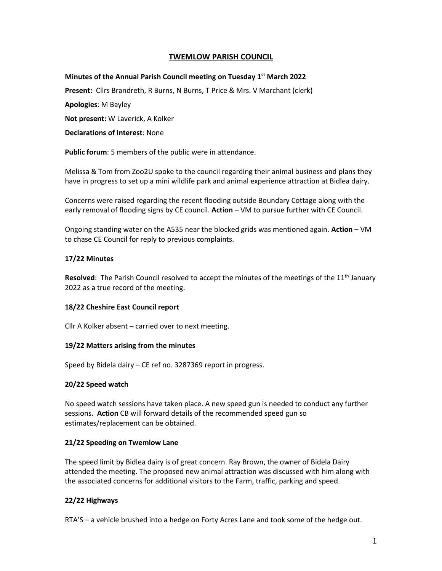# **TWEMLOW PARISH COUNCIL**

### **Minutes of the Annual Parish Council meeting on Tuesday 1 st March 2022**

**Present:** Cllrs Brandreth, R Burns, N Burns, T Price & Mrs. V Marchant (clerk)

**Apologies**: M Bayley

**Not present:** W Laverick, A Kolker

**Declarations of Interest**: None

**Public forum**: 5 members of the public were in attendance.

Melissa & Tom from Zoo2U spoke to the council regarding their animal business and plans they have in progress to set up a mini wildlife park and animal experience attraction at Bidlea dairy.

Concerns were raised regarding the recent flooding outside Boundary Cottage along with the early removal of flooding signs by CE council. **Action** – VM to pursue further with CE Council.

Ongoing standing water on the A535 near the blocked grids was mentioned again. **Action** – VM to chase CE Council for reply to previous complaints.

### **17/22 Minutes**

Resolved: The Parish Council resolved to accept the minutes of the meetings of the 11<sup>th</sup> January 2022 as a true record of the meeting.

### **18/22 Cheshire East Council report**

Cllr A Kolker absent – carried over to next meeting.

### **19/22 Matters arising from the minutes**

Speed by Bidela dairy – CE ref no. 3287369 report in progress.

### **20/22 Speed watch**

No speed watch sessions have taken place. A new speed gun is needed to conduct any further sessions. **Action** CB will forward details of the recommended speed gun so estimates/replacement can be obtained.

### **21/22 Speeding on Twemlow Lane**

The speed limit by Bidlea dairy is of great concern. Ray Brown, the owner of Bidela Dairy attended the meeting. The proposed new animal attraction was discussed with him along with the associated concerns for additional visitors to the Farm, traffic, parking and speed.

### **22/22 Highways**

RTA'S – a vehicle brushed into a hedge on Forty Acres Lane and took some of the hedge out.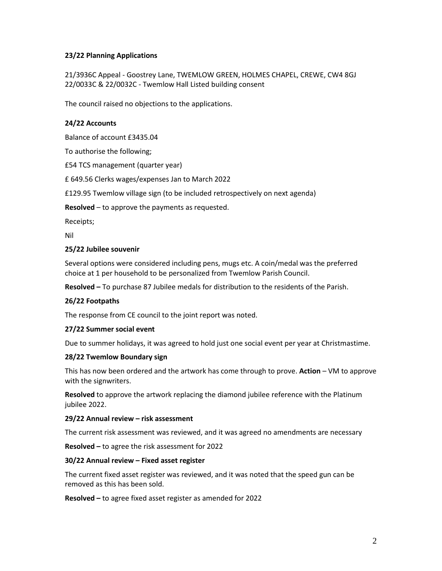# **23/22 Planning Applications**

21/3936C Appeal - Goostrey Lane, TWEMLOW GREEN, HOLMES CHAPEL, CREWE, CW4 8GJ 22/0033C & 22/0032C - Twemlow Hall Listed building consent

The council raised no objections to the applications.

# **24/22 Accounts**

Balance of account £3435.04

To authorise the following;

£54 TCS management (quarter year)

£ 649.56 Clerks wages/expenses Jan to March 2022

£129.95 Twemlow village sign (to be included retrospectively on next agenda)

**Resolved** – to approve the payments as requested.

Receipts;

Nil

### **25/22 Jubilee souvenir**

Several options were considered including pens, mugs etc. A coin/medal was the preferred choice at 1 per household to be personalized from Twemlow Parish Council.

**Resolved –** To purchase 87 Jubilee medals for distribution to the residents of the Parish.

# **26/22 Footpaths**

The response from CE council to the joint report was noted.

### **27/22 Summer social event**

Due to summer holidays, it was agreed to hold just one social event per year at Christmastime.

### **28/22 Twemlow Boundary sign**

This has now been ordered and the artwork has come through to prove. **Action** – VM to approve with the signwriters.

**Resolved** to approve the artwork replacing the diamond jubilee reference with the Platinum jubilee 2022.

### **29/22 Annual review – risk assessment**

The current risk assessment was reviewed, and it was agreed no amendments are necessary

**Resolved –** to agree the risk assessment for 2022

### **30/22 Annual review – Fixed asset register**

The current fixed asset register was reviewed, and it was noted that the speed gun can be removed as this has been sold.

**Resolved –** to agree fixed asset register as amended for 2022